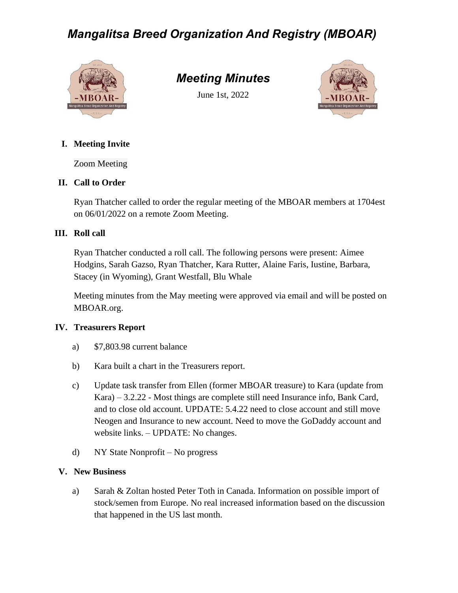# *Mangalitsa Breed Organization And Registry (MBOAR)*



# *Meeting Minutes*

June 1st, 2022



## **I. Meeting Invite**

Zoom Meeting

## **II. Call to Order**

Ryan Thatcher called to order the regular meeting of the MBOAR members at 1704est on 06/01/2022 on a remote Zoom Meeting.

## **III. Roll call**

Ryan Thatcher conducted a roll call. The following persons were present: Aimee Hodgins, Sarah Gazso, Ryan Thatcher, Kara Rutter, Alaine Faris, Iustine, Barbara, Stacey (in Wyoming), Grant Westfall, Blu Whale

Meeting minutes from the May meeting were approved via email and will be posted on MBOAR.org.

### **IV. Treasurers Report**

- a) \$7,803.98 current balance
- b) Kara built a chart in the Treasurers report.
- c) Update task transfer from Ellen (former MBOAR treasure) to Kara (update from Kara) – 3.2.22 - Most things are complete still need Insurance info, Bank Card, and to close old account. UPDATE: 5.4.22 need to close account and still move Neogen and Insurance to new account. Need to move the GoDaddy account and website links. – UPDATE: No changes.
- d) NY State Nonprofit No progress

### **V. New Business**

a) Sarah & Zoltan hosted Peter Toth in Canada. Information on possible import of stock/semen from Europe. No real increased information based on the discussion that happened in the US last month.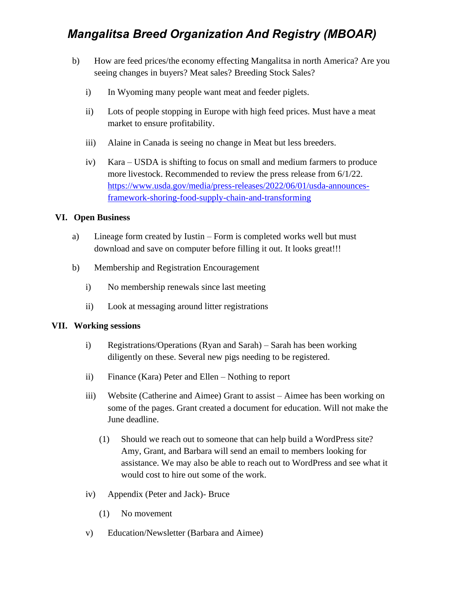# *Mangalitsa Breed Organization And Registry (MBOAR)*

- b) How are feed prices/the economy effecting Mangalitsa in north America? Are you seeing changes in buyers? Meat sales? Breeding Stock Sales?
	- i) In Wyoming many people want meat and feeder piglets.
	- ii) Lots of people stopping in Europe with high feed prices. Must have a meat market to ensure profitability.
	- iii) Alaine in Canada is seeing no change in Meat but less breeders.
	- iv) Kara USDA is shifting to focus on small and medium farmers to produce more livestock. Recommended to review the press release from 6/1/22. [https://www.usda.gov/media/press-releases/2022/06/01/usda-announces](https://www.usda.gov/media/press-releases/2022/06/01/usda-announces-framework-shoring-food-supply-chain-and-transforming)[framework-shoring-food-supply-chain-and-transforming](https://www.usda.gov/media/press-releases/2022/06/01/usda-announces-framework-shoring-food-supply-chain-and-transforming)

#### **VI. Open Business**

- a) Lineage form created by Iustin Form is completed works well but must download and save on computer before filling it out. It looks great!!!
- b) Membership and Registration Encouragement
	- i) No membership renewals since last meeting
	- ii) Look at messaging around litter registrations

#### **VII. Working sessions**

- i) Registrations/Operations (Ryan and Sarah) Sarah has been working diligently on these. Several new pigs needing to be registered.
- ii) Finance (Kara) Peter and Ellen Nothing to report
- iii) Website (Catherine and Aimee) Grant to assist Aimee has been working on some of the pages. Grant created a document for education. Will not make the June deadline.
	- (1) Should we reach out to someone that can help build a WordPress site? Amy, Grant, and Barbara will send an email to members looking for assistance. We may also be able to reach out to WordPress and see what it would cost to hire out some of the work.
- iv) Appendix (Peter and Jack)- Bruce
	- (1) No movement
- v) Education/Newsletter (Barbara and Aimee)